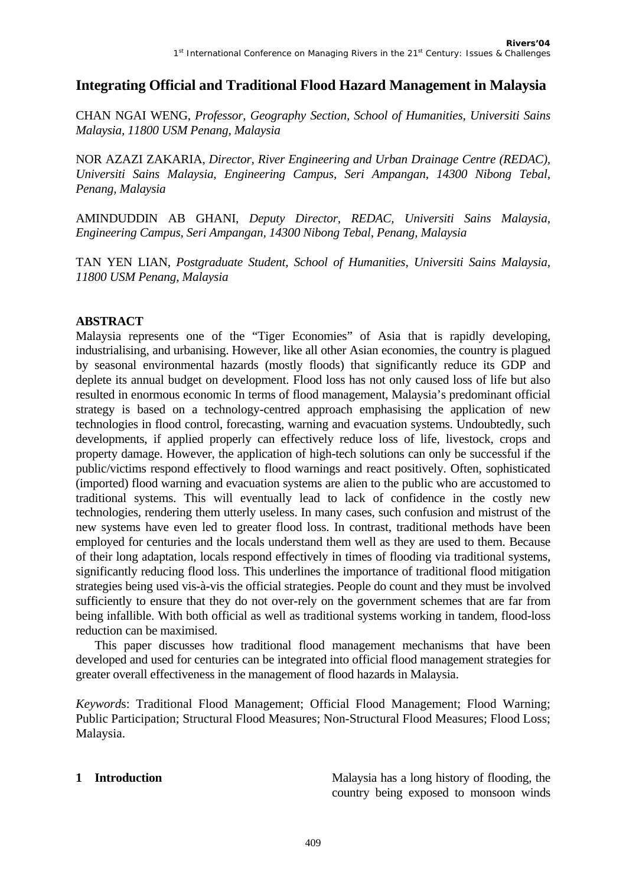# **Integrating Official and Traditional Flood Hazard Management in Malaysia**

CHAN NGAI WENG, *Professor, Geography Section, School of Humanities, Universiti Sains Malaysia, 11800 USM Penang, Malaysia* 

NOR AZAZI ZAKARIA, *Director, River Engineering and Urban Drainage Centre (REDAC), Universiti Sains Malaysia, Engineering Campus, Seri Ampangan, 14300 Nibong Tebal, Penang, Malaysia*

AMINDUDDIN AB GHANI, *Deputy Director, REDAC, Universiti Sains Malaysia, Engineering Campus, Seri Ampangan, 14300 Nibong Tebal, Penang, Malaysia*

TAN YEN LIAN, *Postgraduate Student, School of Humanities, Universiti Sains Malaysia, 11800 USM Penang, Malaysia*

#### **ABSTRACT**

Malaysia represents one of the "Tiger Economies" of Asia that is rapidly developing, industrialising, and urbanising. However, like all other Asian economies, the country is plagued by seasonal environmental hazards (mostly floods) that significantly reduce its GDP and deplete its annual budget on development. Flood loss has not only caused loss of life but also resulted in enormous economic In terms of flood management, Malaysia's predominant official strategy is based on a technology-centred approach emphasising the application of new technologies in flood control, forecasting, warning and evacuation systems. Undoubtedly, such developments, if applied properly can effectively reduce loss of life, livestock, crops and property damage. However, the application of high-tech solutions can only be successful if the public/victims respond effectively to flood warnings and react positively. Often, sophisticated (imported) flood warning and evacuation systems are alien to the public who are accustomed to traditional systems. This will eventually lead to lack of confidence in the costly new technologies, rendering them utterly useless. In many cases, such confusion and mistrust of the new systems have even led to greater flood loss. In contrast, traditional methods have been employed for centuries and the locals understand them well as they are used to them. Because of their long adaptation, locals respond effectively in times of flooding via traditional systems, significantly reducing flood loss. This underlines the importance of traditional flood mitigation strategies being used vis-à-vis the official strategies. People do count and they must be involved sufficiently to ensure that they do not over-rely on the government schemes that are far from being infallible. With both official as well as traditional systems working in tandem, flood-loss reduction can be maximised.

This paper discusses how traditional flood management mechanisms that have been developed and used for centuries can be integrated into official flood management strategies for greater overall effectiveness in the management of flood hazards in Malaysia.

*Keyword*s: Traditional Flood Management; Official Flood Management; Flood Warning; Public Participation; Structural Flood Measures; Non-Structural Flood Measures; Flood Loss; Malaysia.

**1 Introduction 1 Introduction Malaysia has a long history of flooding, the** country being exposed to monsoon winds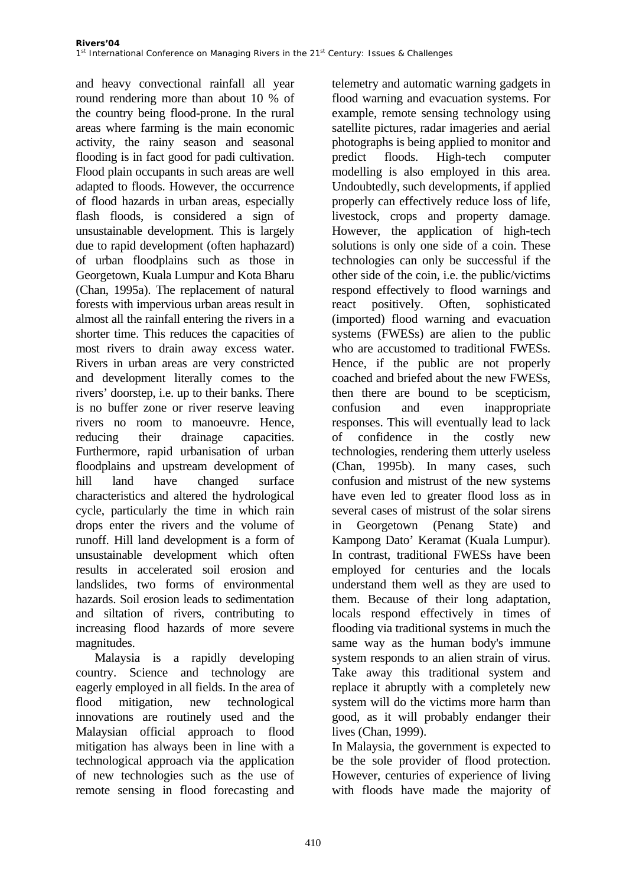and heavy convectional rainfall all year round rendering more than about 10 % of the country being flood-prone. In the rural areas where farming is the main economic activity, the rainy season and seasonal flooding is in fact good for padi cultivation. Flood plain occupants in such areas are well adapted to floods. However, the occurrence of flood hazards in urban areas, especially flash floods, is considered a sign of unsustainable development. This is largely due to rapid development (often haphazard) of urban floodplains such as those in Georgetown, Kuala Lumpur and Kota Bharu (Chan, 1995a). The replacement of natural forests with impervious urban areas result in almost all the rainfall entering the rivers in a shorter time. This reduces the capacities of most rivers to drain away excess water. Rivers in urban areas are very constricted and development literally comes to the rivers' doorstep, i.e. up to their banks. There is no buffer zone or river reserve leaving rivers no room to manoeuvre. Hence, reducing their drainage capacities. Furthermore, rapid urbanisation of urban floodplains and upstream development of hill land have changed surface characteristics and altered the hydrological cycle, particularly the time in which rain drops enter the rivers and the volume of runoff. Hill land development is a form of unsustainable development which often results in accelerated soil erosion and landslides, two forms of environmental hazards. Soil erosion leads to sedimentation and siltation of rivers, contributing to increasing flood hazards of more severe magnitudes.

Malaysia is a rapidly developing country. Science and technology are eagerly employed in all fields. In the area of flood mitigation, new technological innovations are routinely used and the Malaysian official approach to flood mitigation has always been in line with a technological approach via the application of new technologies such as the use of remote sensing in flood forecasting and

telemetry and automatic warning gadgets in flood warning and evacuation systems. For example, remote sensing technology using satellite pictures, radar imageries and aerial photographs is being applied to monitor and predict floods. High-tech computer modelling is also employed in this area. Undoubtedly, such developments, if applied properly can effectively reduce loss of life, livestock, crops and property damage. However, the application of high-tech solutions is only one side of a coin. These technologies can only be successful if the other side of the coin, i.e. the public/victims respond effectively to flood warnings and react positively. Often, sophisticated (imported) flood warning and evacuation systems (FWESs) are alien to the public who are accustomed to traditional FWESs. Hence, if the public are not properly coached and briefed about the new FWESs, then there are bound to be scepticism, confusion and even inappropriate responses. This will eventually lead to lack of confidence in the costly new technologies, rendering them utterly useless (Chan, 1995b). In many cases, such confusion and mistrust of the new systems have even led to greater flood loss as in several cases of mistrust of the solar sirens in Georgetown (Penang State) and Kampong Dato' Keramat (Kuala Lumpur). In contrast, traditional FWESs have been employed for centuries and the locals understand them well as they are used to them. Because of their long adaptation, locals respond effectively in times of flooding via traditional systems in much the same way as the human body's immune system responds to an alien strain of virus. Take away this traditional system and replace it abruptly with a completely new system will do the victims more harm than good, as it will probably endanger their lives (Chan, 1999).

In Malaysia, the government is expected to be the sole provider of flood protection. However, centuries of experience of living with floods have made the majority of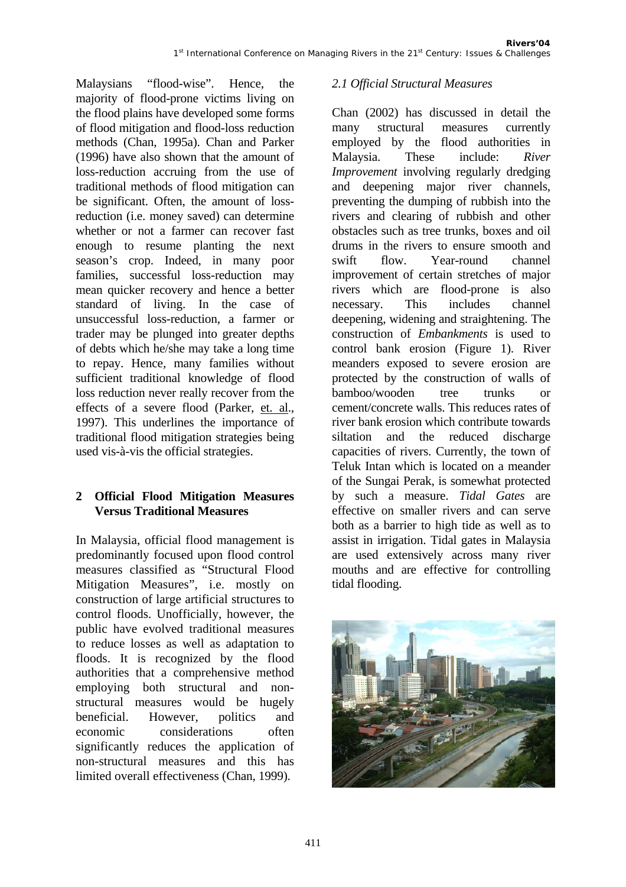Malaysians "flood-wise". Hence, the majority of flood-prone victims living on the flood plains have developed some forms of flood mitigation and flood-loss reduction methods (Chan, 1995a). Chan and Parker (1996) have also shown that the amount of loss-reduction accruing from the use of traditional methods of flood mitigation can be significant. Often, the amount of lossreduction (i.e. money saved) can determine whether or not a farmer can recover fast enough to resume planting the next season's crop. Indeed, in many poor families, successful loss-reduction may mean quicker recovery and hence a better standard of living. In the case of unsuccessful loss-reduction, a farmer or trader may be plunged into greater depths of debts which he/she may take a long time to repay. Hence, many families without sufficient traditional knowledge of flood loss reduction never really recover from the effects of a severe flood (Parker, et. al., 1997). This underlines the importance of traditional flood mitigation strategies being used vis-à-vis the official strategies.

### **2 Official Flood Mitigation Measures Versus Traditional Measures**

In Malaysia, official flood management is predominantly focused upon flood control measures classified as "Structural Flood Mitigation Measures", i.e. mostly on construction of large artificial structures to control floods. Unofficially, however, the public have evolved traditional measures to reduce losses as well as adaptation to floods. It is recognized by the flood authorities that a comprehensive method employing both structural and nonstructural measures would be hugely beneficial. However, politics and economic considerations often significantly reduces the application of non-structural measures and this has limited overall effectiveness (Chan, 1999).

#### *2.1 Official Structural Measures*

Chan (2002) has discussed in detail the many structural measures currently employed by the flood authorities in Malaysia. These include: *River Improvement* involving regularly dredging and deepening major river channels, preventing the dumping of rubbish into the rivers and clearing of rubbish and other obstacles such as tree trunks, boxes and oil drums in the rivers to ensure smooth and swift flow. Year-round channel improvement of certain stretches of major rivers which are flood-prone is also necessary. This includes channel deepening, widening and straightening. The construction of *Embankments* is used to control bank erosion (Figure 1). River meanders exposed to severe erosion are protected by the construction of walls of bamboo/wooden tree trunks or cement/concrete walls. This reduces rates of river bank erosion which contribute towards siltation and the reduced discharge capacities of rivers. Currently, the town of Teluk Intan which is located on a meander of the Sungai Perak, is somewhat protected by such a measure. *Tidal Gates* are effective on smaller rivers and can serve both as a barrier to high tide as well as to assist in irrigation. Tidal gates in Malaysia are used extensively across many river mouths and are effective for controlling tidal flooding.

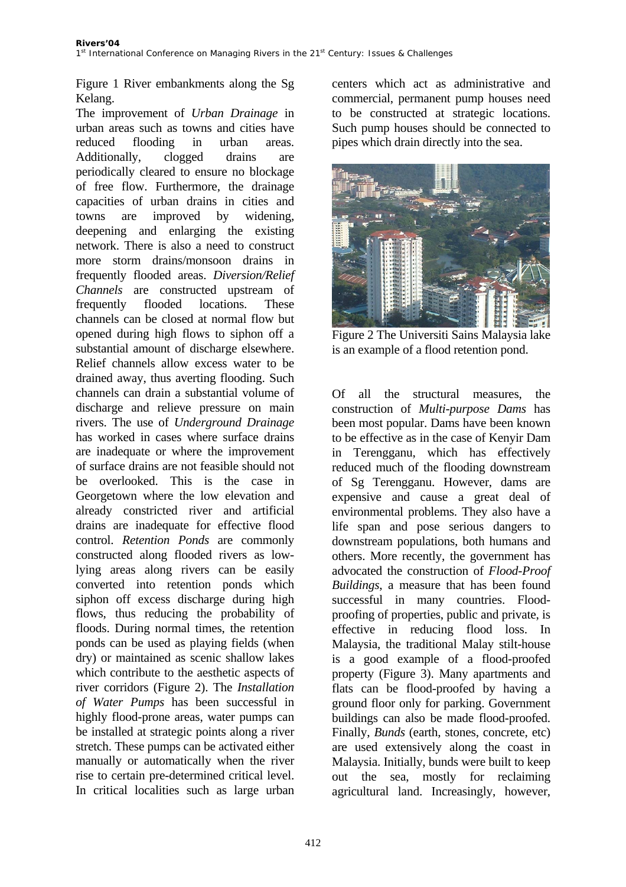Figure 1 River embankments along the Sg Kelang.

The improvement of *Urban Drainage* in urban areas such as towns and cities have reduced flooding in urban areas. Additionally, clogged drains are periodically cleared to ensure no blockage of free flow. Furthermore, the drainage capacities of urban drains in cities and towns are improved by widening, deepening and enlarging the existing network. There is also a need to construct more storm drains/monsoon drains in frequently flooded areas. *Diversion/Relief Channels* are constructed upstream of frequently flooded locations. These channels can be closed at normal flow but opened during high flows to siphon off a substantial amount of discharge elsewhere. Relief channels allow excess water to be drained away, thus averting flooding. Such channels can drain a substantial volume of discharge and relieve pressure on main rivers. The use of *Underground Drainage* has worked in cases where surface drains are inadequate or where the improvement of surface drains are not feasible should not be overlooked. This is the case in Georgetown where the low elevation and already constricted river and artificial drains are inadequate for effective flood control. *Retention Ponds* are commonly constructed along flooded rivers as lowlying areas along rivers can be easily converted into retention ponds which siphon off excess discharge during high flows, thus reducing the probability of floods. During normal times, the retention ponds can be used as playing fields (when dry) or maintained as scenic shallow lakes which contribute to the aesthetic aspects of river corridors (Figure 2). The *Installation of Water Pumps* has been successful in highly flood-prone areas, water pumps can be installed at strategic points along a river stretch. These pumps can be activated either manually or automatically when the river rise to certain pre-determined critical level. In critical localities such as large urban

centers which act as administrative and commercial, permanent pump houses need to be constructed at strategic locations. Such pump houses should be connected to pipes which drain directly into the sea.



Figure 2 The Universiti Sains Malaysia lake is an example of a flood retention pond.

Of all the structural measures, the construction of *Multi-purpose Dams* has been most popular. Dams have been known to be effective as in the case of Kenyir Dam in Terengganu, which has effectively reduced much of the flooding downstream of Sg Terengganu. However, dams are expensive and cause a great deal of environmental problems. They also have a life span and pose serious dangers to downstream populations, both humans and others. More recently, the government has advocated the construction of *Flood-Proof Buildings*, a measure that has been found successful in many countries. Floodproofing of properties, public and private, is effective in reducing flood loss. In Malaysia, the traditional Malay stilt-house is a good example of a flood-proofed property (Figure 3). Many apartments and flats can be flood-proofed by having a ground floor only for parking. Government buildings can also be made flood-proofed. Finally, *Bunds* (earth, stones, concrete, etc) are used extensively along the coast in Malaysia. Initially, bunds were built to keep out the sea, mostly for reclaiming agricultural land. Increasingly, however,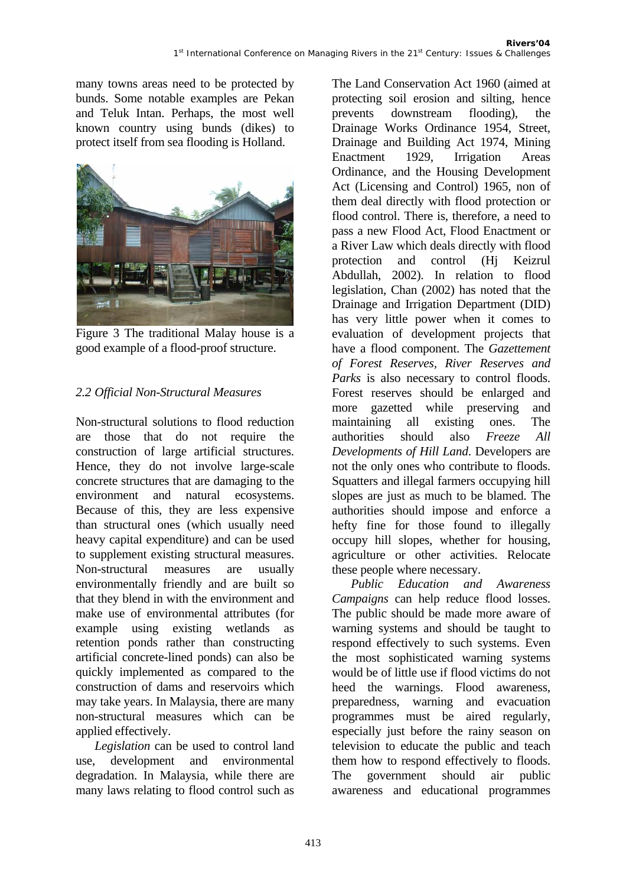many towns areas need to be protected by bunds. Some notable examples are Pekan and Teluk Intan. Perhaps, the most well known country using bunds (dikes) to protect itself from sea flooding is Holland.



Figure 3 The traditional Malay house is a good example of a flood-proof structure.

## *2.2 Official Non-Structural Measures*

Non-structural solutions to flood reduction are those that do not require the construction of large artificial structures. Hence, they do not involve large-scale concrete structures that are damaging to the environment and natural ecosystems. Because of this, they are less expensive than structural ones (which usually need heavy capital expenditure) and can be used to supplement existing structural measures. Non-structural measures are usually environmentally friendly and are built so that they blend in with the environment and make use of environmental attributes (for example using existing wetlands as retention ponds rather than constructing artificial concrete-lined ponds) can also be quickly implemented as compared to the construction of dams and reservoirs which may take years. In Malaysia, there are many non-structural measures which can be applied effectively.

*Legislation* can be used to control land use, development and environmental degradation. In Malaysia, while there are many laws relating to flood control such as The Land Conservation Act 1960 (aimed at protecting soil erosion and silting, hence prevents downstream flooding), the Drainage Works Ordinance 1954, Street, Drainage and Building Act 1974, Mining Enactment 1929, Irrigation Areas Ordinance, and the Housing Development Act (Licensing and Control) 1965, non of them deal directly with flood protection or flood control. There is, therefore, a need to pass a new Flood Act, Flood Enactment or a River Law which deals directly with flood protection and control (Hj Keizrul Abdullah, 2002). In relation to flood legislation, Chan (2002) has noted that the Drainage and Irrigation Department (DID) has very little power when it comes to evaluation of development projects that have a flood component. The *Gazettement of Forest Reserves, River Reserves and Parks* is also necessary to control floods. Forest reserves should be enlarged and more gazetted while preserving and maintaining all existing ones. The authorities should also *Freeze All Developments of Hill Land*. Developers are not the only ones who contribute to floods. Squatters and illegal farmers occupying hill slopes are just as much to be blamed. The authorities should impose and enforce a hefty fine for those found to illegally occupy hill slopes, whether for housing, agriculture or other activities. Relocate these people where necessary.

*Public Education and Awareness Campaigns* can help reduce flood losses. The public should be made more aware of warning systems and should be taught to respond effectively to such systems. Even the most sophisticated warning systems would be of little use if flood victims do not heed the warnings. Flood awareness, preparedness, warning and evacuation programmes must be aired regularly, especially just before the rainy season on television to educate the public and teach them how to respond effectively to floods. The government should air public awareness and educational programmes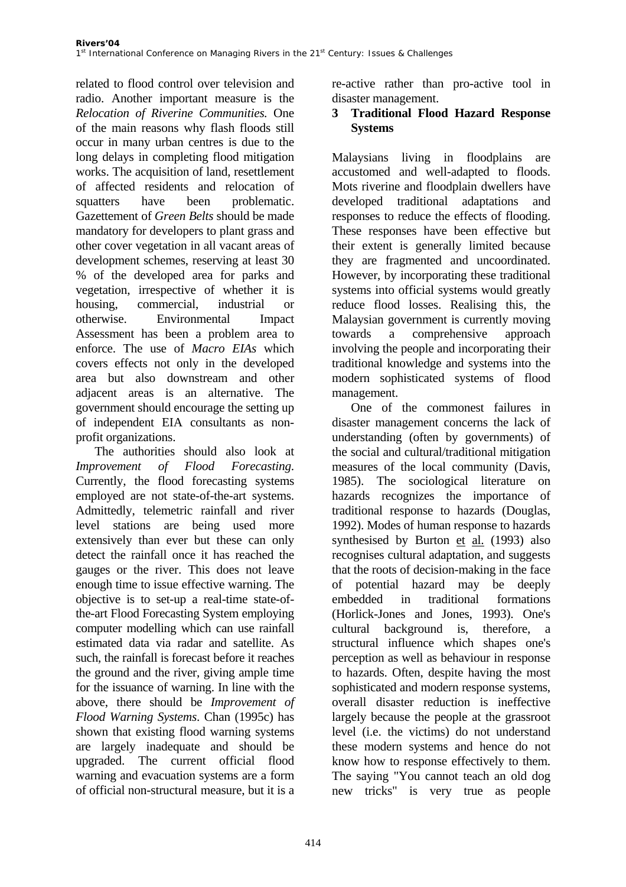related to flood control over television and radio. Another important measure is the *Relocation of Riverine Communities.* One of the main reasons why flash floods still occur in many urban centres is due to the long delays in completing flood mitigation works. The acquisition of land, resettlement of affected residents and relocation of squatters have been problematic. Gazettement of *Green Belts* should be made mandatory for developers to plant grass and other cover vegetation in all vacant areas of development schemes, reserving at least 30 % of the developed area for parks and vegetation, irrespective of whether it is housing, commercial, industrial or otherwise. Environmental Impact Assessment has been a problem area to enforce. The use of *Macro EIAs* which covers effects not only in the developed area but also downstream and other adjacent areas is an alternative. The government should encourage the setting up of independent EIA consultants as nonprofit organizations.

The authorities should also look at *Improvement of Flood Forecasting*. Currently, the flood forecasting systems employed are not state-of-the-art systems. Admittedly, telemetric rainfall and river level stations are being used more extensively than ever but these can only detect the rainfall once it has reached the gauges or the river. This does not leave enough time to issue effective warning. The objective is to set-up a real-time state-ofthe-art Flood Forecasting System employing computer modelling which can use rainfall estimated data via radar and satellite. As such, the rainfall is forecast before it reaches the ground and the river, giving ample time for the issuance of warning. In line with the above, there should be *Improvement of Flood Warning Systems*. Chan (1995c) has shown that existing flood warning systems are largely inadequate and should be upgraded. The current official flood warning and evacuation systems are a form of official non-structural measure, but it is a

re-active rather than pro-active tool in disaster management.

#### **3 Traditional Flood Hazard Response Systems**

Malaysians living in floodplains are accustomed and well-adapted to floods. Mots riverine and floodplain dwellers have developed traditional adaptations and responses to reduce the effects of flooding. These responses have been effective but their extent is generally limited because they are fragmented and uncoordinated. However, by incorporating these traditional systems into official systems would greatly reduce flood losses. Realising this, the Malaysian government is currently moving towards a comprehensive approach involving the people and incorporating their traditional knowledge and systems into the modern sophisticated systems of flood management.

One of the commonest failures in disaster management concerns the lack of understanding (often by governments) of the social and cultural/traditional mitigation measures of the local community (Davis, 1985). The sociological literature on hazards recognizes the importance of traditional response to hazards (Douglas, 1992). Modes of human response to hazards synthesised by Burton et al. (1993) also recognises cultural adaptation, and suggests that the roots of decision-making in the face of potential hazard may be deeply embedded in traditional formations (Horlick-Jones and Jones, 1993). One's cultural background is, therefore, a structural influence which shapes one's perception as well as behaviour in response to hazards. Often, despite having the most sophisticated and modern response systems, overall disaster reduction is ineffective largely because the people at the grassroot level (i.e. the victims) do not understand these modern systems and hence do not know how to response effectively to them. The saying "You cannot teach an old dog new tricks" is very true as people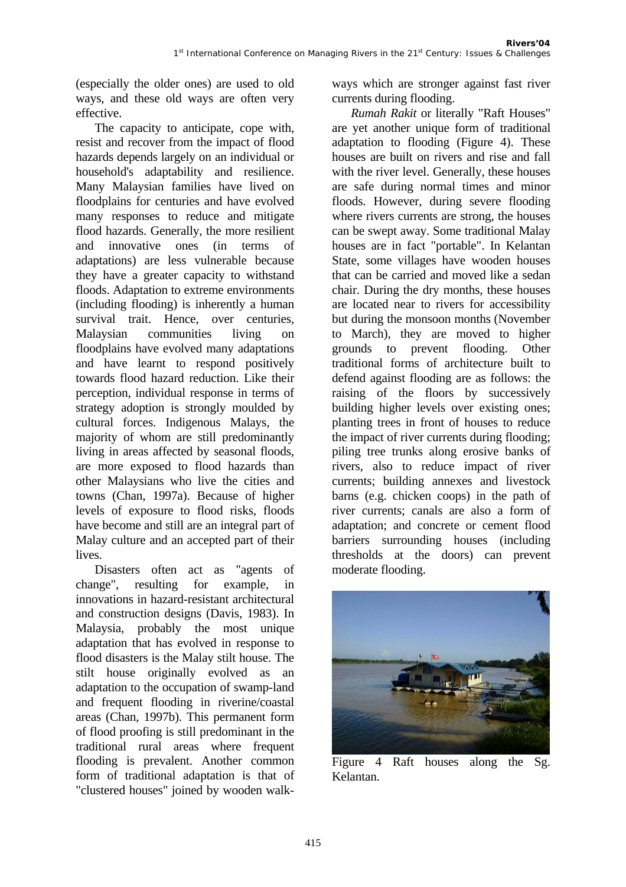(especially the older ones) are used to old ways, and these old ways are often very effective.

The capacity to anticipate, cope with, resist and recover from the impact of flood hazards depends largely on an individual or household's adaptability and resilience. Many Malaysian families have lived on floodplains for centuries and have evolved many responses to reduce and mitigate flood hazards. Generally, the more resilient and innovative ones (in terms of adaptations) are less vulnerable because they have a greater capacity to withstand floods. Adaptation to extreme environments (including flooding) is inherently a human survival trait. Hence, over centuries, Malaysian communities living on floodplains have evolved many adaptations and have learnt to respond positively towards flood hazard reduction. Like their perception, individual response in terms of strategy adoption is strongly moulded by cultural forces. Indigenous Malays, the majority of whom are still predominantly living in areas affected by seasonal floods, are more exposed to flood hazards than other Malaysians who live the cities and towns (Chan, 1997a). Because of higher levels of exposure to flood risks, floods have become and still are an integral part of Malay culture and an accepted part of their lives.

Disasters often act as "agents of change", resulting for example, in innovations in hazard-resistant architectural and construction designs (Davis, 1983). In Malaysia, probably the most unique adaptation that has evolved in response to flood disasters is the Malay stilt house. The stilt house originally evolved as an adaptation to the occupation of swamp-land and frequent flooding in riverine/coastal areas (Chan, 1997b). This permanent form of flood proofing is still predominant in the traditional rural areas where frequent flooding is prevalent. Another common form of traditional adaptation is that of "clustered houses" joined by wooden walkways which are stronger against fast river currents during flooding.

*Rumah Rakit* or literally "Raft Houses" are yet another unique form of traditional adaptation to flooding (Figure 4). These houses are built on rivers and rise and fall with the river level. Generally, these houses are safe during normal times and minor floods. However, during severe flooding where rivers currents are strong, the houses can be swept away. Some traditional Malay houses are in fact "portable". In Kelantan State, some villages have wooden houses that can be carried and moved like a sedan chair. During the dry months, these houses are located near to rivers for accessibility but during the monsoon months (November to March), they are moved to higher grounds to prevent flooding. Other traditional forms of architecture built to defend against flooding are as follows: the raising of the floors by successively building higher levels over existing ones; planting trees in front of houses to reduce the impact of river currents during flooding; piling tree trunks along erosive banks of rivers, also to reduce impact of river currents; building annexes and livestock barns (e.g. chicken coops) in the path of river currents; canals are also a form of adaptation; and concrete or cement flood barriers surrounding houses (including thresholds at the doors) can prevent moderate flooding.



Figure 4 Raft houses along the Sg. Kelantan.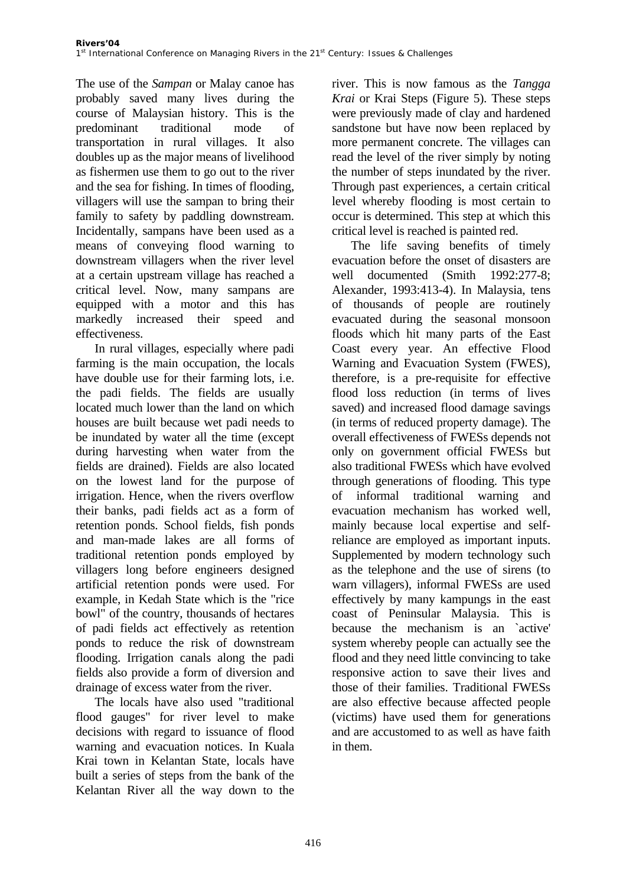The use of the *Sampan* or Malay canoe has probably saved many lives during the course of Malaysian history. This is the predominant traditional mode of transportation in rural villages. It also doubles up as the major means of livelihood as fishermen use them to go out to the river and the sea for fishing. In times of flooding, villagers will use the sampan to bring their family to safety by paddling downstream. Incidentally, sampans have been used as a means of conveying flood warning to downstream villagers when the river level at a certain upstream village has reached a critical level. Now, many sampans are equipped with a motor and this has markedly increased their speed and effectiveness.

In rural villages, especially where padi farming is the main occupation, the locals have double use for their farming lots, i.e. the padi fields. The fields are usually located much lower than the land on which houses are built because wet padi needs to be inundated by water all the time (except during harvesting when water from the fields are drained). Fields are also located on the lowest land for the purpose of irrigation. Hence, when the rivers overflow their banks, padi fields act as a form of retention ponds. School fields, fish ponds and man-made lakes are all forms of traditional retention ponds employed by villagers long before engineers designed artificial retention ponds were used. For example, in Kedah State which is the "rice bowl" of the country, thousands of hectares of padi fields act effectively as retention ponds to reduce the risk of downstream flooding. Irrigation canals along the padi fields also provide a form of diversion and drainage of excess water from the river.

The locals have also used "traditional flood gauges" for river level to make decisions with regard to issuance of flood warning and evacuation notices. In Kuala Krai town in Kelantan State, locals have built a series of steps from the bank of the Kelantan River all the way down to the river. This is now famous as the *Tangga Krai* or Krai Steps (Figure 5). These steps were previously made of clay and hardened sandstone but have now been replaced by more permanent concrete. The villages can read the level of the river simply by noting the number of steps inundated by the river. Through past experiences, a certain critical level whereby flooding is most certain to occur is determined. This step at which this critical level is reached is painted red.

The life saving benefits of timely evacuation before the onset of disasters are well documented (Smith 1992:277-8; Alexander, 1993:413-4). In Malaysia, tens of thousands of people are routinely evacuated during the seasonal monsoon floods which hit many parts of the East Coast every year. An effective Flood Warning and Evacuation System (FWES), therefore, is a pre-requisite for effective flood loss reduction (in terms of lives saved) and increased flood damage savings (in terms of reduced property damage). The overall effectiveness of FWESs depends not only on government official FWESs but also traditional FWESs which have evolved through generations of flooding. This type of informal traditional warning and evacuation mechanism has worked well, mainly because local expertise and selfreliance are employed as important inputs. Supplemented by modern technology such as the telephone and the use of sirens (to warn villagers), informal FWESs are used effectively by many kampungs in the east coast of Peninsular Malaysia. This is because the mechanism is an `active' system whereby people can actually see the flood and they need little convincing to take responsive action to save their lives and those of their families. Traditional FWESs are also effective because affected people (victims) have used them for generations and are accustomed to as well as have faith in them.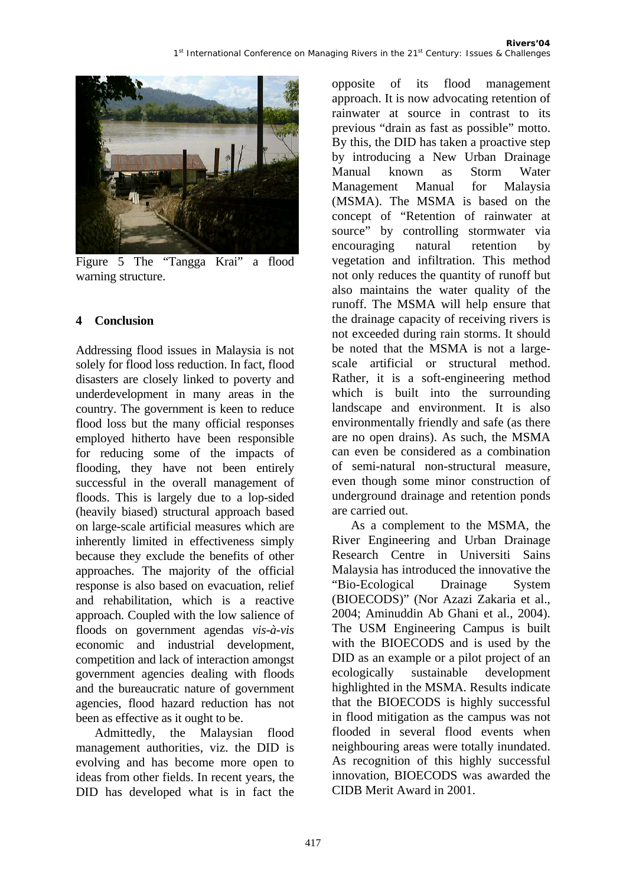

Figure 5 The "Tangga Krai" a flood warning structure.

### **4 Conclusion**

Addressing flood issues in Malaysia is not solely for flood loss reduction. In fact, flood disasters are closely linked to poverty and underdevelopment in many areas in the country. The government is keen to reduce flood loss but the many official responses employed hitherto have been responsible for reducing some of the impacts of flooding, they have not been entirely successful in the overall management of floods. This is largely due to a lop-sided (heavily biased) structural approach based on large-scale artificial measures which are inherently limited in effectiveness simply because they exclude the benefits of other approaches. The majority of the official response is also based on evacuation, relief and rehabilitation, which is a reactive approach. Coupled with the low salience of floods on government agendas *vis-à-vis* economic and industrial development, competition and lack of interaction amongst government agencies dealing with floods and the bureaucratic nature of government agencies, flood hazard reduction has not been as effective as it ought to be.

Admittedly, the Malaysian flood management authorities, viz. the DID is evolving and has become more open to ideas from other fields. In recent years, the DID has developed what is in fact the opposite of its flood management approach. It is now advocating retention of rainwater at source in contrast to its previous "drain as fast as possible" motto. By this, the DID has taken a proactive step by introducing a New Urban Drainage Manual known as Storm Water Management Manual for Malaysia (MSMA). The MSMA is based on the concept of "Retention of rainwater at source" by controlling stormwater via encouraging natural retention by vegetation and infiltration. This method not only reduces the quantity of runoff but also maintains the water quality of the runoff. The MSMA will help ensure that the drainage capacity of receiving rivers is not exceeded during rain storms. It should be noted that the MSMA is not a largescale artificial or structural method. Rather, it is a soft-engineering method which is built into the surrounding landscape and environment. It is also environmentally friendly and safe (as there are no open drains). As such, the MSMA can even be considered as a combination of semi-natural non-structural measure, even though some minor construction of underground drainage and retention ponds are carried out.

As a complement to the MSMA, the River Engineering and Urban Drainage Research Centre in Universiti Sains Malaysia has introduced the innovative the "Bio-Ecological Drainage System (BIOECODS)" (Nor Azazi Zakaria et al., 2004; Aminuddin Ab Ghani et al., 2004). The USM Engineering Campus is built with the BIOECODS and is used by the DID as an example or a pilot project of an ecologically sustainable development highlighted in the MSMA. Results indicate that the BIOECODS is highly successful in flood mitigation as the campus was not flooded in several flood events when neighbouring areas were totally inundated. As recognition of this highly successful innovation, BIOECODS was awarded the CIDB Merit Award in 2001.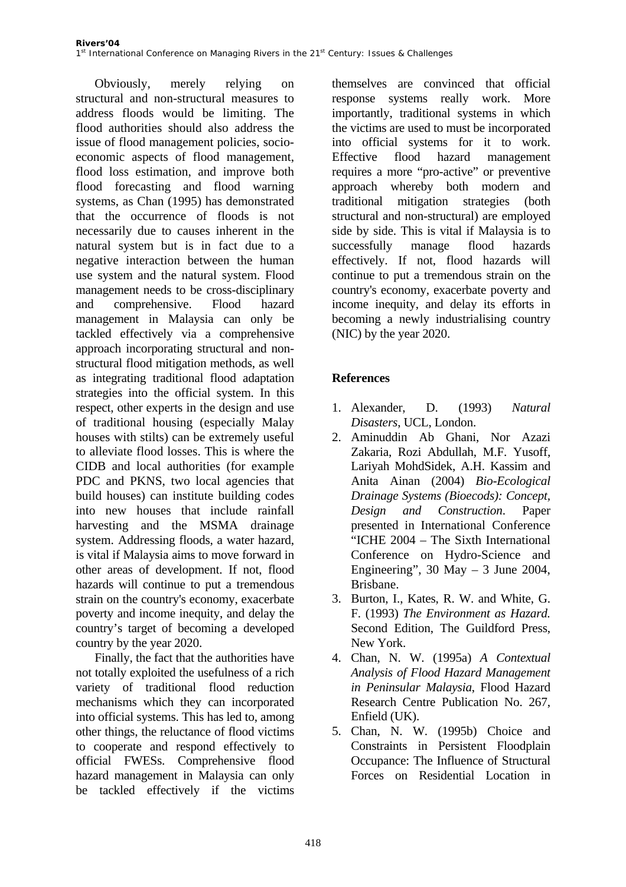Obviously, merely relying on structural and non-structural measures to address floods would be limiting. The flood authorities should also address the issue of flood management policies, socioeconomic aspects of flood management, flood loss estimation, and improve both flood forecasting and flood warning systems, as Chan (1995) has demonstrated that the occurrence of floods is not necessarily due to causes inherent in the natural system but is in fact due to a negative interaction between the human use system and the natural system. Flood management needs to be cross-disciplinary and comprehensive. Flood hazard management in Malaysia can only be tackled effectively via a comprehensive approach incorporating structural and nonstructural flood mitigation methods, as well as integrating traditional flood adaptation strategies into the official system. In this respect, other experts in the design and use of traditional housing (especially Malay houses with stilts) can be extremely useful to alleviate flood losses. This is where the CIDB and local authorities (for example PDC and PKNS, two local agencies that build houses) can institute building codes into new houses that include rainfall harvesting and the MSMA drainage system. Addressing floods, a water hazard, is vital if Malaysia aims to move forward in other areas of development. If not, flood hazards will continue to put a tremendous strain on the country's economy, exacerbate poverty and income inequity, and delay the country's target of becoming a developed country by the year 2020.

Finally, the fact that the authorities have not totally exploited the usefulness of a rich variety of traditional flood reduction mechanisms which they can incorporated into official systems. This has led to, among other things, the reluctance of flood victims to cooperate and respond effectively to official FWESs. Comprehensive flood hazard management in Malaysia can only be tackled effectively if the victims

themselves are convinced that official response systems really work. More importantly, traditional systems in which the victims are used to must be incorporated into official systems for it to work. Effective flood hazard management requires a more "pro-active" or preventive approach whereby both modern and traditional mitigation strategies (both structural and non-structural) are employed side by side. This is vital if Malaysia is to successfully manage flood hazards effectively. If not, flood hazards will continue to put a tremendous strain on the country's economy, exacerbate poverty and income inequity, and delay its efforts in becoming a newly industrialising country (NIC) by the year 2020.

## **References**

- 1. Alexander, D. (1993) *Natural Disasters*, UCL, London.
- 2. Aminuddin Ab Ghani, Nor Azazi Zakaria, Rozi Abdullah, M.F. Yusoff, Lariyah MohdSidek, A.H. Kassim and Anita Ainan (2004) *Bio-Ecological Drainage Systems (Bioecods): Concept, Design and Construction*. Paper presented in International Conference "ICHE 2004 – The Sixth International Conference on Hydro-Science and Engineering",  $30$  May  $-3$  June 2004, Brisbane.
- 3. Burton, I., Kates, R. W. and White, G. F. (1993) *The Environment as Hazard.* Second Edition, The Guildford Press, New York.
- 4. Chan, N. W. (1995a) *A Contextual Analysis of Flood Hazard Management in Peninsular Malaysia*, Flood Hazard Research Centre Publication No. 267, Enfield (UK).
- 5. Chan, N. W. (1995b) Choice and Constraints in Persistent Floodplain Occupance: The Influence of Structural Forces on Residential Location in